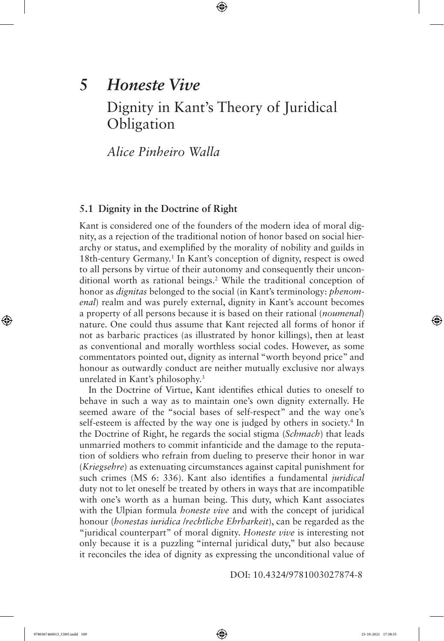# **5** *Honeste Vive* Dignity in Kant's Theory of Juridical **Obligation**

⊕

*Alice Pinheiro Walla*

# **5.1 Dignity in the Doctrine of Right**

Kant is considered one of the founders of the modern idea of moral dignity, as a rejection of the traditional notion of honor based on social hierarchy or status, and exemplified by the morality of nobility and guilds in 18th-century Germany.<sup>1</sup> In Kant's conception of dignity, respect is owed to all persons by virtue of their autonomy and consequently their unconditional worth as rational beings.<sup>2</sup> While the traditional conception of honor as *dignitas* belonged to the social (in Kant's terminology: *phenomenal*) realm and was purely external, dignity in Kant's account becomes a property of all persons because it is based on their rational (*noumenal*) nature. One could thus assume that Kant rejected all forms of honor if not as barbaric practices (as illustrated by honor killings), then at least as conventional and morally worthless social codes. However, as some commentators pointed out, dignity as internal "worth beyond price" and honour as outwardly conduct are neither mutually exclusive nor always unrelated in Kant's philosophy.<sup>3</sup>

In the Doctrine of Virtue, Kant identifies ethical duties to oneself to behave in such a way as to maintain one's own dignity externally. He seemed aware of the "social bases of self-respect" and the way one's self-esteem is affected by the way one is judged by others in society.<sup>4</sup> In the Doctrine of Right, he regards the social stigma (*Schmach*) that leads unmarried mothers to commit infanticide and the damage to the reputation of soldiers who refrain from dueling to preserve their honor in war (*Kriegsehre*) as extenuating circumstances against capital punishment for such crimes (MS 6: 336). Kant also identifies a fundamental *juridical* duty not to let oneself be treated by others in ways that are incompatible with one's worth as a human being. This duty, which Kant associates with the Ulpian formula *honeste vive* and with the concept of juridical honour (*honestas iuridica* /*rechtliche Ehrbarkeit*), can be regarded as the "juridical counterpart" of moral dignity. *Honeste vive* is interesting not only because it is a puzzling "internal juridical duty," but also because it reconciles the idea of dignity as expressing the unconditional value of

DOI: 10.4324/9781003027874-8

⊕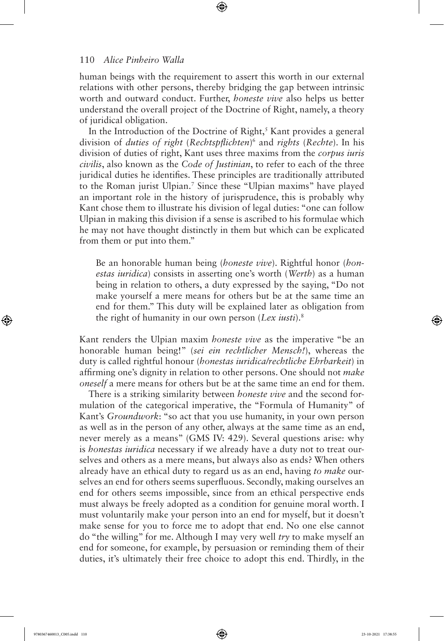human beings with the requirement to assert this worth in our external relations with other persons, thereby bridging the gap between intrinsic worth and outward conduct. Further, *honeste vive* also helps us better understand the overall project of the Doctrine of Right, namely, a theory of juridical obligation.

⊕

In the Introduction of the Doctrine of Right, $<sup>5</sup>$  Kant provides a general</sup> division of *duties of right* (*Rechtspflichten*) 6 and *rights* (*Rechte*). In his division of duties of right, Kant uses three maxims from the *corpus iuris civilis*, also known as the *Code of Justinian*, to refer to each of the three juridical duties he identifies. These principles are traditionally attributed to the Roman jurist Ulpian.<sup>7</sup> Since these "Ulpian maxims" have played an important role in the history of jurisprudence, this is probably why Kant chose them to illustrate his division of legal duties: "one can follow Ulpian in making this division if a sense is ascribed to his formulae which he may not have thought distinctly in them but which can be explicated from them or put into them."

Be an honorable human being (*honeste vive*). Rightful honor (*honestas iuridica*) consists in asserting one's worth (*Werth*) as a human being in relation to others, a duty expressed by the saying, "Do not make yourself a mere means for others but be at the same time an end for them." This duty will be explained later as obligation from the right of humanity in our own person (*Lex iusti*).<sup>8</sup>

Kant renders the Ulpian maxim *honeste vive* as the imperative "be an honorable human being!" (*sei ein rechtlicher Mensch!*), whereas the duty is called rightful honour (*honestas iuridica/rechtliche Ehrbarkeit*) in affirming one's dignity in relation to other persons. One should not *make oneself* a mere means for others but be at the same time an end for them.

There is a striking similarity between *honeste vive* and the second formulation of the categorical imperative, the "Formula of Humanity" of Kant's *Groundwork*: "so act that you use humanity, in your own person as well as in the person of any other, always at the same time as an end, never merely as a means" (GMS IV: 429). Several questions arise: why is *honestas iuridica* necessary if we already have a duty not to treat ourselves and others as a mere means, but always also as ends? When others already have an ethical duty to regard us as an end, having *to make* ourselves an end for others seems superfluous. Secondly, making ourselves an end for others seems impossible, since from an ethical perspective ends must always be freely adopted as a condition for genuine moral worth. I must voluntarily make your person into an end for myself, but it doesn't make sense for you to force me to adopt that end. No one else cannot do "the willing" for me. Although I may very well *try* to make myself an end for someone, for example, by persuasion or reminding them of their duties, it's ultimately their free choice to adopt this end. Thirdly, in the

⊕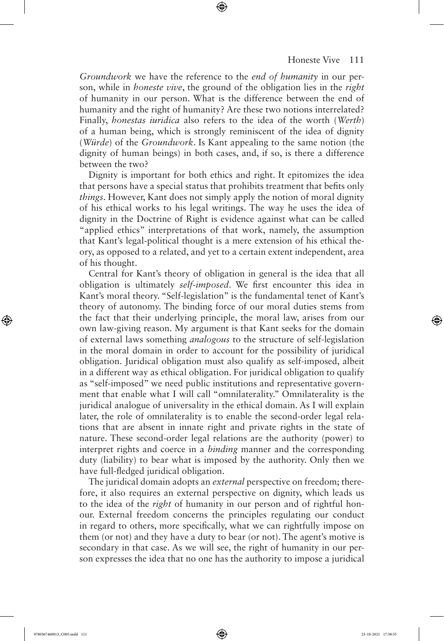*Groundwork* we have the reference to the *end of humanity* in our person, while in *honeste vive*, the ground of the obligation lies in the *right* of humanity in our person. What is the difference between the end of humanity and the right of humanity? Are these two notions interrelated? Finally, *honestas iuridica* also refers to the idea of the worth (*Werth*) of a human being, which is strongly reminiscent of the idea of dignity (*Würde*) of the *Groundwork*. Is Kant appealing to the same notion (the dignity of human beings) in both cases, and, if so, is there a difference between the two?

⊕

Dignity is important for both ethics and right. It epitomizes the idea that persons have a special status that prohibits treatment that befits only *things*. However, Kant does not simply apply the notion of moral dignity of his ethical works to his legal writings. The way he uses the idea of dignity in the Doctrine of Right is evidence against what can be called "applied ethics" interpretations of that work, namely, the assumption that Kant's legal-political thought is a mere extension of his ethical theory, as opposed to a related, and yet to a certain extent independent, area of his thought.

Central for Kant's theory of obligation in general is the idea that all obligation is ultimately *self-imposed*. We first encounter this idea in Kant's moral theory. "Self-legislation" is the fundamental tenet of Kant's theory of autonomy. The binding force of our moral duties stems from the fact that their underlying principle, the moral law, arises from our own law-giving reason. My argument is that Kant seeks for the domain of external laws something *analogous* to the structure of self-legislation in the moral domain in order to account for the possibility of juridical obligation. Juridical obligation must also qualify as self-imposed, albeit in a different way as ethical obligation. For juridical obligation to qualify as "self-imposed" we need public institutions and representative government that enable what I will call "omnilaterality." Omnilaterality is the juridical analogue of universality in the ethical domain. As I will explain later, the role of omnilaterality is to enable the second-order legal relations that are absent in innate right and private rights in the state of nature. These second-order legal relations are the authority (power) to interpret rights and coerce in a *binding* manner and the corresponding duty (liability) to bear what is imposed by the authority. Only then we have full-fledged juridical obligation.

The juridical domain adopts an *external* perspective on freedom; therefore, it also requires an external perspective on dignity, which leads us to the idea of the *right* of humanity in our person and of rightful honour. External freedom concerns the principles regulating our conduct in regard to others, more specifically, what we can rightfully impose on them (or not) and they have a duty to bear (or not). The agent's motive is secondary in that case. As we will see, the right of humanity in our person expresses the idea that no one has the authority to impose a juridical

⊕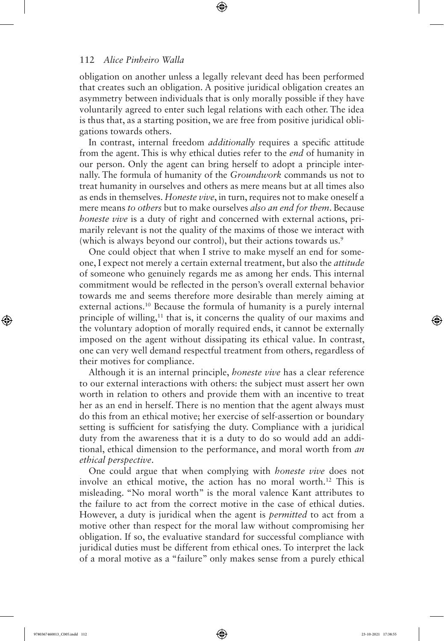obligation on another unless a legally relevant deed has been performed that creates such an obligation. A positive juridical obligation creates an asymmetry between individuals that is only morally possible if they have voluntarily agreed to enter such legal relations with each other. The idea is thus that, as a starting position, we are free from positive juridical obligations towards others.

⊕

In contrast, internal freedom *additionally* requires a specific attitude from the agent. This is why ethical duties refer to the *end* of humanity in our person. Only the agent can bring herself to adopt a principle internally. The formula of humanity of the *Groundwork* commands us not to treat humanity in ourselves and others as mere means but at all times also as ends in themselves. *Honeste vive*, in turn, requires not to make oneself a mere means *to others* but to make ourselves *also an end for them*. Because *honeste vive* is a duty of right and concerned with external actions, primarily relevant is not the quality of the maxims of those we interact with (which is always beyond our control), but their actions towards us.<sup>9</sup>

One could object that when I strive to make myself an end for someone, I expect not merely a certain external treatment, but also the *attitude* of someone who genuinely regards me as among her ends. This internal commitment would be reflected in the person's overall external behavior towards me and seems therefore more desirable than merely aiming at external actions.<sup>10</sup> Because the formula of humanity is a purely internal principle of willing,<sup>11</sup> that is, it concerns the quality of our maxims and the voluntary adoption of morally required ends, it cannot be externally imposed on the agent without dissipating its ethical value. In contrast, one can very well demand respectful treatment from others, regardless of their motives for compliance.

Although it is an internal principle, *honeste vive* has a clear reference to our external interactions with others: the subject must assert her own worth in relation to others and provide them with an incentive to treat her as an end in herself. There is no mention that the agent always must do this from an ethical motive; her exercise of self-assertion or boundary setting is sufficient for satisfying the duty. Compliance with a juridical duty from the awareness that it is a duty to do so would add an additional, ethical dimension to the performance, and moral worth from *an ethical perspective*.

One could argue that when complying with *honeste vive* does not involve an ethical motive, the action has no moral worth.<sup>12</sup> This is misleading. "No moral worth" is the moral valence Kant attributes to the failure to act from the correct motive in the case of ethical duties. However, a duty is juridical when the agent is *permitted* to act from a motive other than respect for the moral law without compromising her obligation. If so, the evaluative standard for successful compliance with juridical duties must be different from ethical ones. To interpret the lack of a moral motive as a "failure" only makes sense from a purely ethical

⊕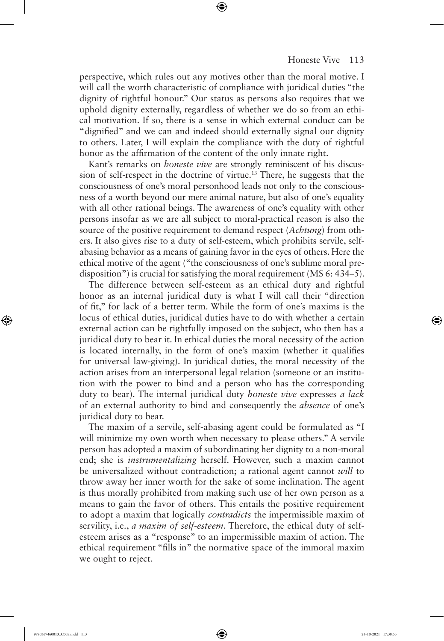perspective, which rules out any motives other than the moral motive. I will call the worth characteristic of compliance with juridical duties "the dignity of rightful honour." Our status as persons also requires that we uphold dignity externally, regardless of whether we do so from an ethical motivation. If so, there is a sense in which external conduct can be "dignified" and we can and indeed should externally signal our dignity to others. Later, I will explain the compliance with the duty of rightful honor as the affirmation of the content of the only innate right.

⊕

Kant's remarks on *honeste vive* are strongly reminiscent of his discussion of self-respect in the doctrine of virtue.<sup>13</sup> There, he suggests that the consciousness of one's moral personhood leads not only to the consciousness of a worth beyond our mere animal nature, but also of one's equality with all other rational beings. The awareness of one's equality with other persons insofar as we are all subject to moral-practical reason is also the source of the positive requirement to demand respect (*Achtung*) from others. It also gives rise to a duty of self-esteem, which prohibits servile, selfabasing behavior as a means of gaining favor in the eyes of others. Here the ethical motive of the agent ("the consciousness of one's sublime moral predisposition") is crucial for satisfying the moral requirement (MS 6: 434–5).

The difference between self-esteem as an ethical duty and rightful honor as an internal juridical duty is what I will call their "direction of fit," for lack of a better term. While the form of one's maxims is the locus of ethical duties, juridical duties have to do with whether a certain external action can be rightfully imposed on the subject, who then has a juridical duty to bear it. In ethical duties the moral necessity of the action is located internally, in the form of one's maxim (whether it qualifies for universal law-giving). In juridical duties, the moral necessity of the action arises from an interpersonal legal relation (someone or an institution with the power to bind and a person who has the corresponding duty to bear). The internal juridical duty *honeste vive* expresses *a lack* of an external authority to bind and consequently the *absence* of one's juridical duty to bear.

The maxim of a servile, self-abasing agent could be formulated as "I will minimize my own worth when necessary to please others." A servile person has adopted a maxim of subordinating her dignity to a non-moral end; she is *instrumentalizing* herself. However, such a maxim cannot be universalized without contradiction; a rational agent cannot *will* to throw away her inner worth for the sake of some inclination. The agent is thus morally prohibited from making such use of her own person as a means to gain the favor of others. This entails the positive requirement to adopt a maxim that logically *contradicts* the impermissible maxim of servility, i.e., *a maxim of self-esteem*. Therefore, the ethical duty of selfesteem arises as a "response" to an impermissible maxim of action. The ethical requirement "fills in" the normative space of the immoral maxim we ought to reject.

⊕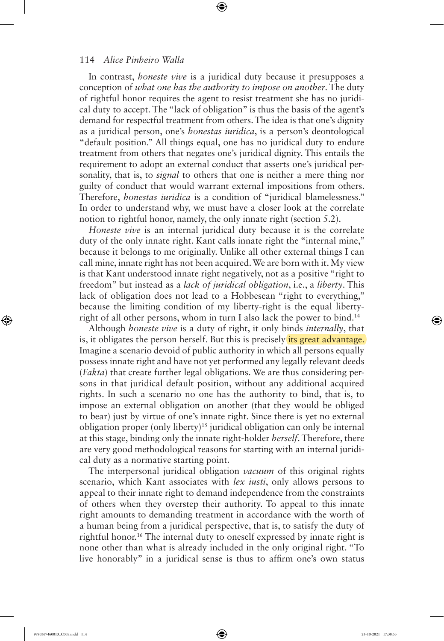In contrast, *honeste vive* is a juridical duty because it presupposes a conception of *what one has the authority to impose on another*. The duty of rightful honor requires the agent to resist treatment she has no juridical duty to accept. The "lack of obligation" is thus the basis of the agent's demand for respectful treatment from others. The idea is that one's dignity as a juridical person, one's *honestas iuridica*, is a person's deontological "default position." All things equal, one has no juridical duty to endure treatment from others that negates one's juridical dignity. This entails the requirement to adopt an external conduct that asserts one's juridical personality, that is, to *signal* to others that one is neither a mere thing nor guilty of conduct that would warrant external impositions from others. Therefore, *honestas iuridica* is a condition of "juridical blamelessness." In order to understand why, we must have a closer look at the correlate notion to rightful honor, namely, the only innate right (section 5.2).

⊕

*Honeste vive* is an internal juridical duty because it is the correlate duty of the only innate right. Kant calls innate right the "internal mine," because it belongs to me originally. Unlike all other external things I can call mine, innate right has not been acquired. We are born with it. My view is that Kant understood innate right negatively, not as a positive "right to freedom" but instead as a *lack of juridical obligation*, i.e., a *liberty*. This lack of obligation does not lead to a Hobbesean "right to everything," because the limiting condition of my liberty-right is the equal libertyright of all other persons, whom in turn I also lack the power to bind.<sup>14</sup>

Although *honeste vive* is a duty of right, it only binds *internally*, that is, it obligates the person herself. But this is precisely *its great advantage*. Imagine a scenario devoid of public authority in which all persons equally possess innate right and have not yet performed any legally relevant deeds (*Fakta*) that create further legal obligations. We are thus considering persons in that juridical default position, without any additional acquired rights. In such a scenario no one has the authority to bind, that is, to impose an external obligation on another (that they would be obliged to bear) just by virtue of one's innate right. Since there is yet no external obligation proper (only liberty)<sup>15</sup> juridical obligation can only be internal at this stage, binding only the innate right-holder *herself*. Therefore, there are very good methodological reasons for starting with an internal juridical duty as a normative starting point.

The interpersonal juridical obligation *vacuum* of this original rights scenario, which Kant associates with *lex iusti*, only allows persons to appeal to their innate right to demand independence from the constraints of others when they overstep their authority. To appeal to this innate right amounts to demanding treatment in accordance with the worth of a human being from a juridical perspective, that is, to satisfy the duty of rightful honor.<sup>16</sup> The internal duty to oneself expressed by innate right is none other than what is already included in the only original right. "To live honorably" in a juridical sense is thus to affirm one's own status

⊕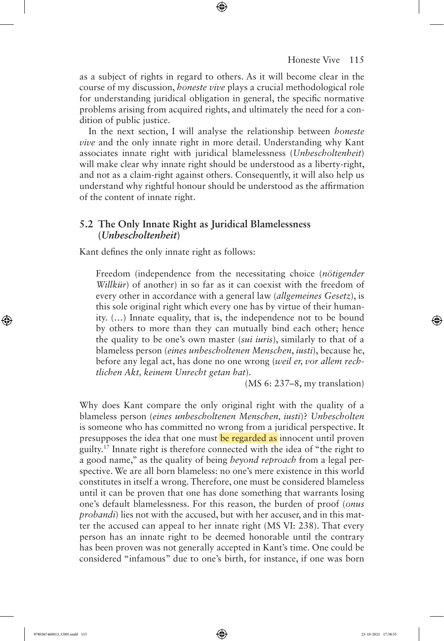as a subject of rights in regard to others. As it will become clear in the course of my discussion, *honeste vive* plays a crucial methodological role for understanding juridical obligation in general, the specific normative problems arising from acquired rights, and ultimately the need for a condition of public justice.

⊕

In the next section, I will analyse the relationship between *honeste vive* and the only innate right in more detail. Understanding why Kant associates innate right with juridical blamelessness (*Unbescholtenheit*) will make clear why innate right should be understood as a liberty-right, and not as a claim-right against others. Consequently, it will also help us understand why rightful honour should be understood as the affirmation of the content of innate right.

# **5.2 The Only Innate Right as Juridical Blamelessness (***Unbescholtenheit***)**

Kant defines the only innate right as follows:

Freedom (independence from the necessitating choice (*nötigender Willkür*) of another) in so far as it can coexist with the freedom of every other in accordance with a general law (*allgemeines Gesetz*), is this sole original right which every one has by virtue of their humanity. (…) Innate equality, that is, the independence not to be bound by others to more than they can mutually bind each other; hence the quality to be one's own master (*sui iuris*), similarly to that of a blameless person (*eines unbescholtenen Menschen*, *iusti*), because he, before any legal act, has done no one wrong (*weil er, vor allem rechtlichen Akt, keinem Unrecht getan hat*).

(MS 6: 237–8, my translation)

Why does Kant compare the only original right with the quality of a blameless person (*eines unbescholtenen Menschen, iusti*)? *Unbescholten* is someone who has committed no wrong from a juridical perspective. It presupposes the idea that one must be regarded as innocent until proven guilty.<sup>17</sup> Innate right is therefore connected with the idea of "the right to a good name," as the quality of being *beyond reproach* from a legal perspective. We are all born blameless: no one's mere existence in this world constitutes in itself a wrong. Therefore, one must be considered blameless until it can be proven that one has done something that warrants losing one's default blamelessness. For this reason, the burden of proof (*onus probandi*) lies not with the accused, but with her accuser, and in this matter the accused can appeal to her innate right (MS VI: 238). That every person has an innate right to be deemed honorable until the contrary has been proven was not generally accepted in Kant's time. One could be considered "infamous" due to one's birth, for instance, if one was born

⊕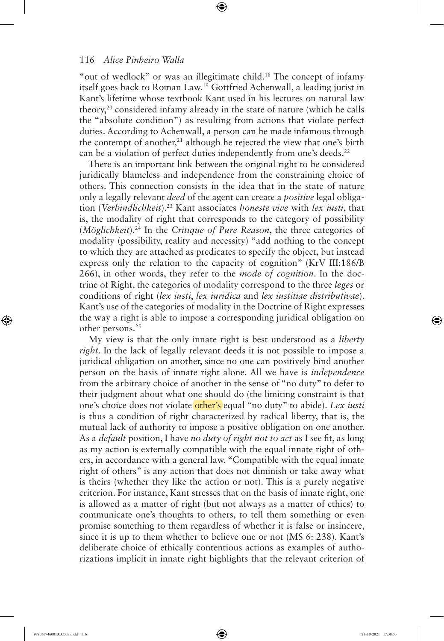"out of wedlock" or was an illegitimate child.<sup>18</sup> The concept of infamy itself goes back to Roman Law.<sup>19</sup> Gottfried Achenwall, a leading jurist in Kant's lifetime whose textbook Kant used in his lectures on natural law theory,<sup>20</sup> considered infamy already in the state of nature (which he calls the "absolute condition") as resulting from actions that violate perfect duties. According to Achenwall, a person can be made infamous through the contempt of another,<sup>21</sup> although he rejected the view that one's birth can be a violation of perfect duties independently from one's deeds.<sup>22</sup>

⊕

There is an important link between the original right to be considered juridically blameless and independence from the constraining choice of others. This connection consists in the idea that in the state of nature only a legally relevant *deed* of the agent can create a *positive* legal obligation (*Verbindlichkeit*).<sup>23</sup> Kant associates *honeste vive* with *lex iusti*, that is, the modality of right that corresponds to the category of possibility (*Möglichkeit*).<sup>24</sup> In the *Critique of Pure Reason*, the three categories of modality (possibility, reality and necessity) "add nothing to the concept to which they are attached as predicates to specify the object, but instead express only the relation to the capacity of cognition" (KrV III:186/B 266), in other words, they refer to the *mode of cognition*. In the doctrine of Right, the categories of modality correspond to the three *leges* or conditions of right (*lex iusti*, *lex iuridica* and *lex iustitiae distributivae*). Kant's use of the categories of modality in the Doctrine of Right expresses the way a right is able to impose a corresponding juridical obligation on other persons.<sup>25</sup>

My view is that the only innate right is best understood as a *liberty right*. In the lack of legally relevant deeds it is not possible to impose a juridical obligation on another, since no one can positively bind another person on the basis of innate right alone. All we have is *independence* from the arbitrary choice of another in the sense of "no duty" to defer to their judgment about what one should do (the limiting constraint is that one's choice does not violate other's equal "no duty" to abide). *Lex iusti* is thus a condition of right characterized by radical liberty, that is, the mutual lack of authority to impose a positive obligation on one another. As a *default* position, I have *no duty of right not to act* as I see fit, as long as my action is externally compatible with the equal innate right of others, in accordance with a general law. "Compatible with the equal innate right of others" is any action that does not diminish or take away what is theirs (whether they like the action or not). This is a purely negative criterion. For instance, Kant stresses that on the basis of innate right, one is allowed as a matter of right (but not always as a matter of ethics) to communicate one's thoughts to others, to tell them something or even promise something to them regardless of whether it is false or insincere, since it is up to them whether to believe one or not (MS 6: 238). Kant's deliberate choice of ethically contentious actions as examples of authorizations implicit in innate right highlights that the relevant criterion of

⊕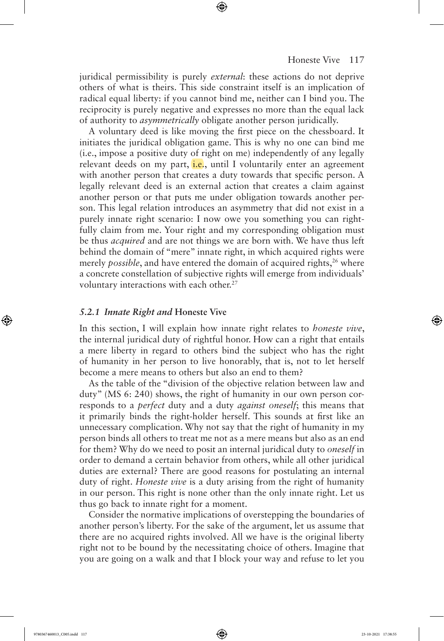juridical permissibility is purely *external*: these actions do not deprive others of what is theirs. This side constraint itself is an implication of radical equal liberty: if you cannot bind me, neither can I bind you. The reciprocity is purely negative and expresses no more than the equal lack of authority to *asymmetrically* obligate another person juridically.

⊕

A voluntary deed is like moving the first piece on the chessboard. It initiates the juridical obligation game. This is why no one can bind me (i.e., impose a positive duty of right on me) independently of any legally relevant deeds on my part, i.e., until I voluntarily enter an agreement with another person that creates a duty towards that specific person. A legally relevant deed is an external action that creates a claim against another person or that puts me under obligation towards another person. This legal relation introduces an asymmetry that did not exist in a purely innate right scenario: I now owe you something you can rightfully claim from me. Your right and my corresponding obligation must be thus *acquired* and are not things we are born with. We have thus left behind the domain of "mere" innate right, in which acquired rights were merely *possible*, and have entered the domain of acquired rights,<sup>26</sup> where a concrete constellation of subjective rights will emerge from individuals' voluntary interactions with each other.<sup>27</sup>

#### *5.2.1 Innate Right and* **Honeste Vive**

In this section, I will explain how innate right relates to *honeste vive*, the internal juridical duty of rightful honor. How can a right that entails a mere liberty in regard to others bind the subject who has the right of humanity in her person to live honorably, that is, not to let herself become a mere means to others but also an end to them?

As the table of the "division of the objective relation between law and duty" (MS 6: 240) shows, the right of humanity in our own person corresponds to a *perfect* duty and a duty *against oneself*; this means that it primarily binds the right-holder herself. This sounds at first like an unnecessary complication. Why not say that the right of humanity in my person binds all others to treat me not as a mere means but also as an end for them? Why do we need to posit an internal juridical duty to *oneself* in order to demand a certain behavior from others, while all other juridical duties are external? There are good reasons for postulating an internal duty of right. *Honeste vive* is a duty arising from the right of humanity in our person. This right is none other than the only innate right. Let us thus go back to innate right for a moment.

Consider the normative implications of overstepping the boundaries of another person's liberty. For the sake of the argument, let us assume that there are no acquired rights involved. All we have is the original liberty right not to be bound by the necessitating choice of others. Imagine that you are going on a walk and that I block your way and refuse to let you

⊕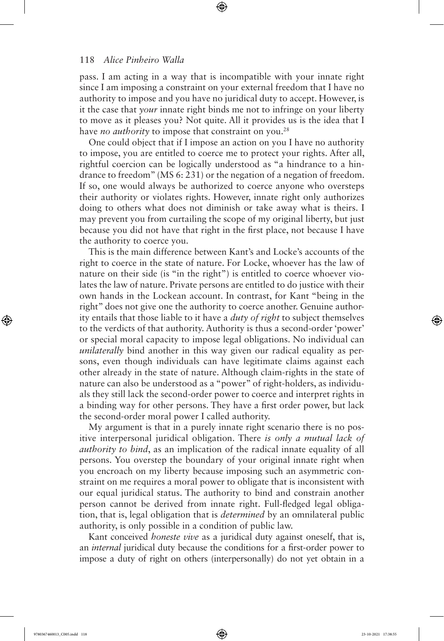pass. I am acting in a way that is incompatible with your innate right since I am imposing a constraint on your external freedom that I have no authority to impose and you have no juridical duty to accept. However, is it the case that *your* innate right binds me not to infringe on your liberty to move as it pleases you? Not quite. All it provides us is the idea that I have *no authority* to impose that constraint on you.<sup>28</sup>

⊕

One could object that if I impose an action on you I have no authority to impose, you are entitled to coerce me to protect your rights. After all, rightful coercion can be logically understood as "a hindrance to a hindrance to freedom" (MS 6: 231) or the negation of a negation of freedom. If so, one would always be authorized to coerce anyone who oversteps their authority or violates rights. However, innate right only authorizes doing to others what does not diminish or take away what is theirs. I may prevent you from curtailing the scope of my original liberty, but just because you did not have that right in the first place, not because I have the authority to coerce you.

This is the main difference between Kant's and Locke's accounts of the right to coerce in the state of nature. For Locke, whoever has the law of nature on their side (is "in the right") is entitled to coerce whoever violates the law of nature. Private persons are entitled to do justice with their own hands in the Lockean account. In contrast, for Kant "being in the right" does not give one the authority to coerce another. Genuine authority entails that those liable to it have a *duty of right* to subject themselves to the verdicts of that authority. Authority is thus a second-order 'power' or special moral capacity to impose legal obligations. No individual can *unilaterally* bind another in this way given our radical equality as persons, even though individuals can have legitimate claims against each other already in the state of nature. Although claim-rights in the state of nature can also be understood as a "power" of right-holders, as individuals they still lack the second-order power to coerce and interpret rights in a binding way for other persons. They have a first order power, but lack the second-order moral power I called authority.

My argument is that in a purely innate right scenario there is no positive interpersonal juridical obligation. There *is only a mutual lack of authority to bind*, as an implication of the radical innate equality of all persons. You overstep the boundary of your original innate right when you encroach on my liberty because imposing such an asymmetric constraint on me requires a moral power to obligate that is inconsistent with our equal juridical status. The authority to bind and constrain another person cannot be derived from innate right. Full-fledged legal obligation, that is, legal obligation that is *determined* by an omnilateral public authority, is only possible in a condition of public law.

Kant conceived *honeste vive* as a juridical duty against oneself, that is, an *internal* juridical duty because the conditions for a first-order power to impose a duty of right on others (interpersonally) do not yet obtain in a

⊕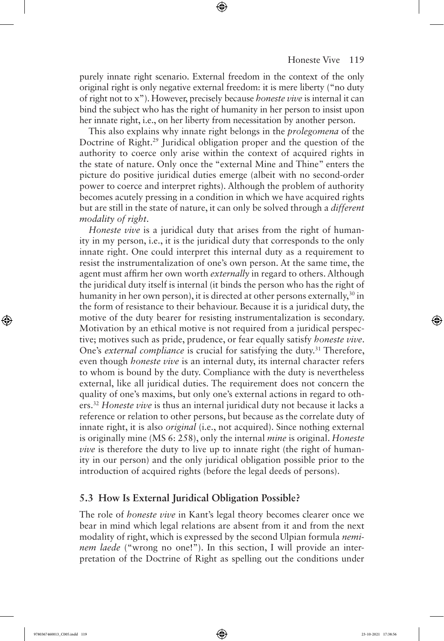purely innate right scenario. External freedom in the context of the only original right is only negative external freedom: it is mere liberty ("no duty of right not to x"). However, precisely because *honeste vive* is internal it can bind the subject who has the right of humanity in her person to insist upon her innate right, i.e., on her liberty from necessitation by another person.

⊕

This also explains why innate right belongs in the *prolegomena* of the Doctrine of Right.<sup>29</sup> Juridical obligation proper and the question of the authority to coerce only arise within the context of acquired rights in the state of nature. Only once the "external Mine and Thine" enters the picture do positive juridical duties emerge (albeit with no second-order power to coerce and interpret rights). Although the problem of authority becomes acutely pressing in a condition in which we have acquired rights but are still in the state of nature, it can only be solved through a *different modality of right*.

*Honeste vive* is a juridical duty that arises from the right of humanity in my person, i.e., it is the juridical duty that corresponds to the only innate right. One could interpret this internal duty as a requirement to resist the instrumentalization of one's own person. At the same time, the agent must affirm her own worth *externally* in regard to others. Although the juridical duty itself is internal (it binds the person who has the right of humanity in her own person), it is directed at other persons externally,<sup>30</sup> in the form of resistance to their behaviour. Because it is a juridical duty, the motive of the duty bearer for resisting instrumentalization is secondary. Motivation by an ethical motive is not required from a juridical perspective; motives such as pride, prudence, or fear equally satisfy *honeste vive*. One's *external compliance* is crucial for satisfying the duty.<sup>31</sup> Therefore, even though *honeste vive* is an internal duty, its internal character refers to whom is bound by the duty. Compliance with the duty is nevertheless external, like all juridical duties. The requirement does not concern the quality of one's maxims, but only one's external actions in regard to others.<sup>32</sup> *Honeste vive* is thus an internal juridical duty not because it lacks a reference or relation to other persons, but because as the correlate duty of innate right, it is also *original* (i.e., not acquired). Since nothing external is originally mine (MS 6: 258), only the internal *mine* is original. *Honeste vive* is therefore the duty to live up to innate right (the right of humanity in our person) and the only juridical obligation possible prior to the introduction of acquired rights (before the legal deeds of persons).

## **5.3 How Is External Juridical Obligation Possible?**

The role of *honeste vive* in Kant's legal theory becomes clearer once we bear in mind which legal relations are absent from it and from the next modality of right, which is expressed by the second Ulpian formula *neminem laede* ("wrong no one!"). In this section, I will provide an interpretation of the Doctrine of Right as spelling out the conditions under

⊕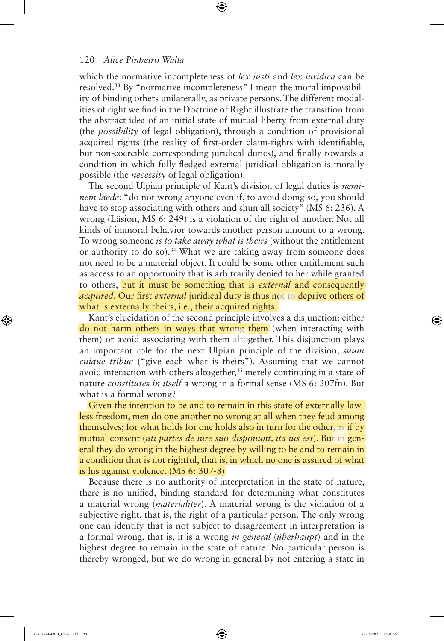which the normative incompleteness of *lex iusti* and *lex iuridica* can be resolved.33 By "normative incompleteness" I mean the moral impossibility of binding others unilaterally, as private persons. The different modalities of right we find in the Doctrine of Right illustrate the transition from the abstract idea of an initial state of mutual liberty from external duty (the *possibility* of legal obligation), through a condition of provisional acquired rights (the reality of first-order claim-rights with identifiable, but non-coercible corresponding juridical duties), and finally towards a condition in which fully-fledged external juridical obligation is morally possible (the *necessity* of legal obligation).

⊕

The second Ulpian principle of Kant's division of legal duties is *neminem laede*: "do not wrong anyone even if, to avoid doing so, you should have to stop associating with others and shun all society" (MS 6: 236). A wrong (Läsion, MS 6: 249) is a violation of the right of another. Not all kinds of immoral behavior towards another person amount to a wrong. To wrong someone *is to take away what is theirs* (without the entitlement or authority to do so).<sup>34</sup> What we are taking away from someone does not need to be a material object. It could be some other entitlement such as access to an opportunity that is arbitrarily denied to her while granted to others, but it must be something that is *external* and consequently *acquired*. Our first *external* juridical duty is thus not to deprive others of what is externally theirs, *i.e.*, their acquired rights.

Kant's elucidation of the second principle involves a disjunction: either do not harm others in ways that wrong them (when interacting with them) or avoid associating with them altogether. This disjunction plays an important role for the next Ulpian principle of the division, *suum cuique tribue* ("give each what is theirs"). Assuming that we cannot avoid interaction with others altogether,<sup>35</sup> merely continuing in a state of nature *constitutes in itself* a wrong in a formal sense (MS 6: 307fn). But what is a formal wrong?

Given the intention to be and to remain in this state of externally lawless freedom, men do one another no wrong at all when they feud among themselves; for what holds for one holds also in turn for the other, as if by mutual consent (*uti partes de iure suo disponunt, ita ius est*). But in general they do wrong in the highest degree by willing to be and to remain in a condition that is not rightful, that is, in which no one is assured of what is his against violence. (MS 6: 307-8)

Because there is no authority of interpretation in the state of nature, there is no unified, binding standard for determining what constitutes a material wrong (*materialiter*). A material wrong is the violation of a subjective right, that is, the right of a particular person. The only wrong one can identify that is not subject to disagreement in interpretation is a formal wrong, that is, it is a wrong *in general* (*überhaupt*) and in the highest degree to remain in the state of nature. No particular person is thereby wronged, but we do wrong in general by not entering a state in

⊕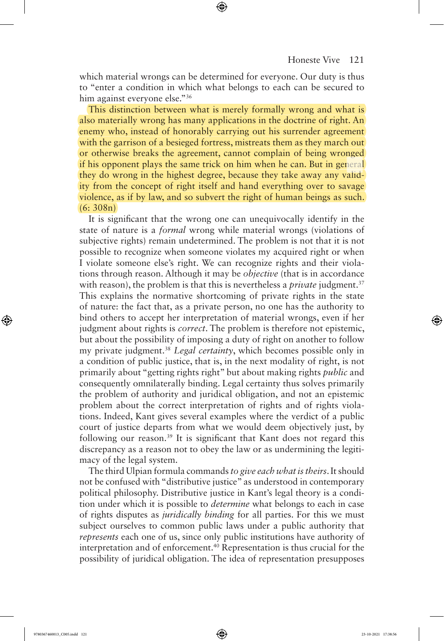which material wrongs can be determined for everyone. Our duty is thus to "enter a condition in which what belongs to each can be secured to him against everyone else."<sup>36</sup>

⊕

This distinction between what is merely formally wrong and what is also materially wrong has many applications in the doctrine of right. An enemy who, instead of honorably carrying out his surrender agreement with the garrison of a besieged fortress, mistreats them as they march out or otherwise breaks the agreement, cannot complain of being wronged if his opponent plays the same trick on him when he can. But in general they do wrong in the highest degree, because they take away any validity from the concept of right itself and hand everything over to savage violence, as if by law, and so subvert the right of human beings as such. (6: 308n)

It is significant that the wrong one can unequivocally identify in the state of nature is a *formal* wrong while material wrongs (violations of subjective rights) remain undetermined. The problem is not that it is not possible to recognize when someone violates my acquired right or when I violate someone else's right. We can recognize rights and their violations through reason. Although it may be *objective* (that is in accordance with reason), the problem is that this is nevertheless a *private* judgment.<sup>37</sup> This explains the normative shortcoming of private rights in the state of nature: the fact that, as a private person, no one has the authority to bind others to accept her interpretation of material wrongs, even if her judgment about rights is *correct*. The problem is therefore not epistemic, but about the possibility of imposing a duty of right on another to follow my private judgment.<sup>38</sup> *Legal certainty*, which becomes possible only in a condition of public justice, that is, in the next modality of right, is not primarily about "getting rights right" but about making rights *public* and consequently omnilaterally binding. Legal certainty thus solves primarily the problem of authority and juridical obligation, and not an epistemic problem about the correct interpretation of rights and of rights violations. Indeed, Kant gives several examples where the verdict of a public court of justice departs from what we would deem objectively just, by following our reason.<sup>39</sup> It is significant that Kant does not regard this discrepancy as a reason not to obey the law or as undermining the legitimacy of the legal system.

The third Ulpian formula commands *to give each what is theirs*. It should not be confused with "distributive justice" as understood in contemporary political philosophy. Distributive justice in Kant's legal theory is a condition under which it is possible to *determine* what belongs to each in case of rights disputes as *juridically binding* for all parties. For this we must subject ourselves to common public laws under a public authority that *represents* each one of us, since only public institutions have authority of interpretation and of enforcement.<sup>40</sup> Representation is thus crucial for the possibility of juridical obligation. The idea of representation presupposes

⊕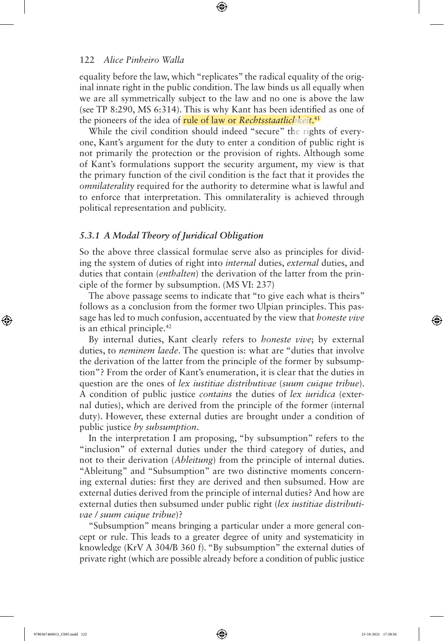equality before the law, which "replicates" the radical equality of the original innate right in the public condition. The law binds us all equally when we are all symmetrically subject to the law and no one is above the law (see TP 8:290, MS 6:314). This is why Kant has been identified as one of the pioneers of the idea of rule of law or *Rechtsstaatlichkeit*. 41

⊕

While the civil condition should indeed "secure" the rights of everyone, Kant's argument for the duty to enter a condition of public right is not primarily the protection or the provision of rights. Although some of Kant's formulations support the security argument, my view is that the primary function of the civil condition is the fact that it provides the *omnilaterality* required for the authority to determine what is lawful and to enforce that interpretation. This omnilaterality is achieved through political representation and publicity.

#### *5.3.1 A Modal Theory of Juridical Obligation*

So the above three classical formulae serve also as principles for dividing the system of duties of right into *internal* duties, *external* duties, and duties that contain (*enthalten*) the derivation of the latter from the principle of the former by subsumption. (MS VI: 237)

The above passage seems to indicate that "to give each what is theirs" follows as a conclusion from the former two Ulpian principles. This passage has led to much confusion, accentuated by the view that *honeste vive* is an ethical principle.<sup>42</sup>

By internal duties, Kant clearly refers to *honeste vive*; by external duties, to *neminem laede*. The question is: what are "duties that involve the derivation of the latter from the principle of the former by subsumption"? From the order of Kant's enumeration, it is clear that the duties in question are the ones of *lex iustitiae distributivae* (*suum cuique tribue*). A condition of public justice *contains* the duties of *lex iuridica* (external duties), which are derived from the principle of the former (internal duty). However, these external duties are brought under a condition of public justice *by subsumption*.

In the interpretation I am proposing, "by subsumption" refers to the "inclusion" of external duties under the third category of duties, and not to their derivation (*Ableitung*) from the principle of internal duties. "Ableitung" and "Subsumption" are two distinctive moments concerning external duties: first they are derived and then subsumed. How are external duties derived from the principle of internal duties? And how are external duties then subsumed under public right (*lex iustitiae distributivae / suum cuique tribue*)?

"Subsumption" means bringing a particular under a more general concept or rule. This leads to a greater degree of unity and systematicity in knowledge (KrV A 304/B 360 f). "By subsumption" the external duties of private right (which are possible already before a condition of public justice

⊕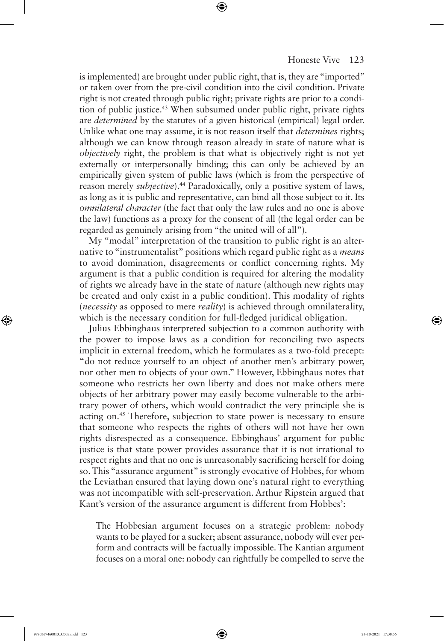#### Honeste Vive 123

is implemented) are brought under public right, that is, they are "imported" or taken over from the pre-civil condition into the civil condition. Private right is not created through public right; private rights are prior to a condition of public justice.<sup>43</sup> When subsumed under public right, private rights are *determined* by the statutes of a given historical (empirical) legal order. Unlike what one may assume, it is not reason itself that *determines* rights; although we can know through reason already in state of nature what is *objectively* right, the problem is that what is objectively right is not yet externally or interpersonally binding; this can only be achieved by an empirically given system of public laws (which is from the perspective of reason merely *subjective*).<sup>44</sup> Paradoxically, only a positive system of laws, as long as it is public and representative, can bind all those subject to it. Its *omnilateral character* (the fact that only the law rules and no one is above the law) functions as a proxy for the consent of all (the legal order can be regarded as genuinely arising from "the united will of all").

⊕

My "modal" interpretation of the transition to public right is an alternative to "instrumentalist" positions which regard public right as a *means* to avoid domination, disagreements or conflict concerning rights. My argument is that a public condition is required for altering the modality of rights we already have in the state of nature (although new rights may be created and only exist in a public condition). This modality of rights (*necessity* as opposed to mere *reality*) is achieved through omnilaterality, which is the necessary condition for full-fledged juridical obligation.

Julius Ebbinghaus interpreted subjection to a common authority with the power to impose laws as a condition for reconciling two aspects implicit in external freedom, which he formulates as a two-fold precept: "do not reduce yourself to an object of another men's arbitrary power, nor other men to objects of your own." However, Ebbinghaus notes that someone who restricts her own liberty and does not make others mere objects of her arbitrary power may easily become vulnerable to the arbitrary power of others, which would contradict the very principle she is acting on.<sup>45</sup> Therefore, subjection to state power is necessary to ensure that someone who respects the rights of others will not have her own rights disrespected as a consequence. Ebbinghaus' argument for public justice is that state power provides assurance that it is not irrational to respect rights and that no one is unreasonably sacrificing herself for doing so. This "assurance argument" is strongly evocative of Hobbes, for whom the Leviathan ensured that laying down one's natural right to everything was not incompatible with self-preservation. Arthur Ripstein argued that Kant's version of the assurance argument is different from Hobbes':

The Hobbesian argument focuses on a strategic problem: nobody wants to be played for a sucker; absent assurance, nobody will ever perform and contracts will be factually impossible. The Kantian argument focuses on a moral one: nobody can rightfully be compelled to serve the

⊕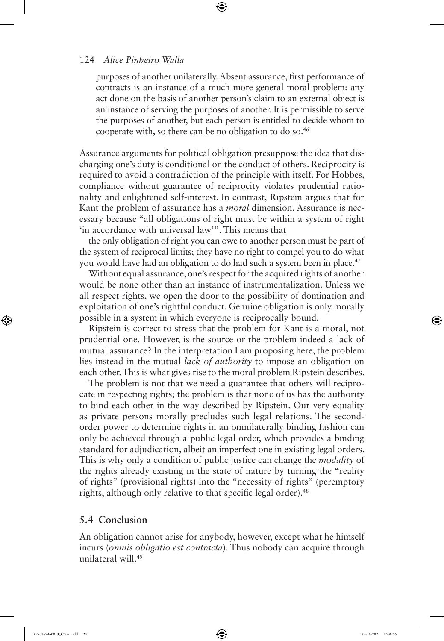purposes of another unilaterally. Absent assurance, first performance of contracts is an instance of a much more general moral problem: any act done on the basis of another person's claim to an external object is an instance of serving the purposes of another. It is permissible to serve the purposes of another, but each person is entitled to decide whom to cooperate with, so there can be no obligation to do so.<sup>46</sup>

⊕

Assurance arguments for political obligation presuppose the idea that discharging one's duty is conditional on the conduct of others. Reciprocity is required to avoid a contradiction of the principle with itself. For Hobbes, compliance without guarantee of reciprocity violates prudential rationality and enlightened self-interest. In contrast, Ripstein argues that for Kant the problem of assurance has a *moral* dimension. Assurance is necessary because "all obligations of right must be within a system of right 'in accordance with universal law'". This means that

the only obligation of right you can owe to another person must be part of the system of reciprocal limits; they have no right to compel you to do what you would have had an obligation to do had such a system been in place.<sup>47</sup>

Without equal assurance, one's respect for the acquired rights of another would be none other than an instance of instrumentalization. Unless we all respect rights, we open the door to the possibility of domination and exploitation of one's rightful conduct. Genuine obligation is only morally possible in a system in which everyone is reciprocally bound.

Ripstein is correct to stress that the problem for Kant is a moral, not prudential one. However, is the source or the problem indeed a lack of mutual assurance? In the interpretation I am proposing here, the problem lies instead in the mutual *lack of authority* to impose an obligation on each other. This is what gives rise to the moral problem Ripstein describes.

The problem is not that we need a guarantee that others will reciprocate in respecting rights; the problem is that none of us has the authority to bind each other in the way described by Ripstein. Our very equality as private persons morally precludes such legal relations. The secondorder power to determine rights in an omnilaterally binding fashion can only be achieved through a public legal order, which provides a binding standard for adjudication, albeit an imperfect one in existing legal orders. This is why only a condition of public justice can change the *modality* of the rights already existing in the state of nature by turning the "reality of rights" (provisional rights) into the "necessity of rights" (peremptory rights, although only relative to that specific legal order).<sup>48</sup>

# **5.4 Conclusion**

An obligation cannot arise for anybody, however, except what he himself incurs (*omnis obligatio est contracta*). Thus nobody can acquire through unilateral will.<sup>49</sup>

⊕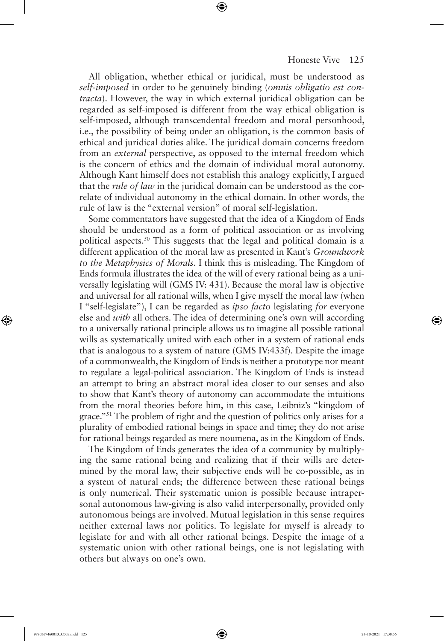#### Honeste Vive 125

All obligation, whether ethical or juridical, must be understood as *self-imposed* in order to be genuinely binding (*omnis obligatio est contracta*). However, the way in which external juridical obligation can be regarded as self-imposed is different from the way ethical obligation is self-imposed, although transcendental freedom and moral personhood, i.e., the possibility of being under an obligation, is the common basis of ethical and juridical duties alike. The juridical domain concerns freedom from an *external* perspective, as opposed to the internal freedom which is the concern of ethics and the domain of individual moral autonomy. Although Kant himself does not establish this analogy explicitly, I argued that the *rule of law* in the juridical domain can be understood as the correlate of individual autonomy in the ethical domain. In other words, the rule of law is the "external version" of moral self-legislation.

⊕

Some commentators have suggested that the idea of a Kingdom of Ends should be understood as a form of political association or as involving political aspects.<sup>50</sup> This suggests that the legal and political domain is a different application of the moral law as presented in Kant's *Groundwork to the Metaphysics of Morals*. I think this is misleading. The Kingdom of Ends formula illustrates the idea of the will of every rational being as a universally legislating will (GMS IV: 431). Because the moral law is objective and universal for all rational wills, when I give myself the moral law (when I "self-legislate"), I can be regarded as *ipso facto* legislating *for* everyone else and *with* all others. The idea of determining one's own will according to a universally rational principle allows us to imagine all possible rational wills as systematically united with each other in a system of rational ends that is analogous to a system of nature (GMS IV:433f). Despite the image of a commonwealth, the Kingdom of Ends is neither a prototype nor meant to regulate a legal-political association. The Kingdom of Ends is instead an attempt to bring an abstract moral idea closer to our senses and also to show that Kant's theory of autonomy can accommodate the intuitions from the moral theories before him, in this case, Leibniz's "kingdom of grace."<sup>51</sup> The problem of right and the question of politics only arises for a plurality of embodied rational beings in space and time; they do not arise for rational beings regarded as mere noumena, as in the Kingdom of Ends.

The Kingdom of Ends generates the idea of a community by multiplying the same rational being and realizing that if their wills are determined by the moral law, their subjective ends will be co-possible, as in a system of natural ends; the difference between these rational beings is only numerical. Their systematic union is possible because intrapersonal autonomous law-giving is also valid interpersonally, provided only autonomous beings are involved. Mutual legislation in this sense requires neither external laws nor politics. To legislate for myself is already to legislate for and with all other rational beings. Despite the image of a systematic union with other rational beings, one is not legislating with others but always on one's own.

⊕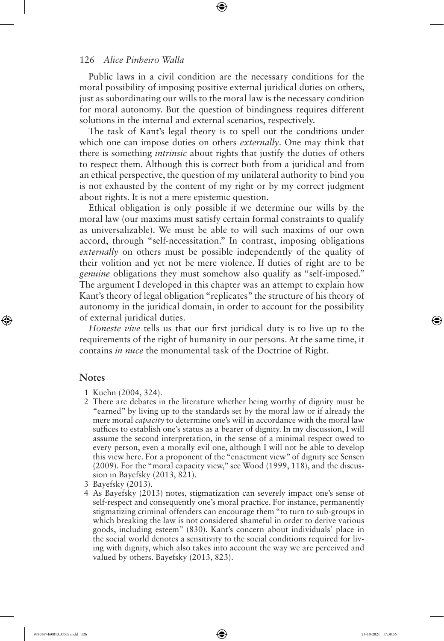Public laws in a civil condition are the necessary conditions for the moral possibility of imposing positive external juridical duties on others, just as subordinating our wills to the moral law is the necessary condition for moral autonomy. But the question of bindingness requires different solutions in the internal and external scenarios, respectively.

The task of Kant's legal theory is to spell out the conditions under which one can impose duties on others *externally*. One may think that there is something *intrinsic* about rights that justify the duties of others to respect them. Although this is correct both from a juridical and from an ethical perspective, the question of my unilateral authority to bind you is not exhausted by the content of my right or by my correct judgment about rights. It is not a mere epistemic question.

Ethical obligation is only possible if we determine our wills by the moral law (our maxims must satisfy certain formal constraints to qualify as universalizable). We must be able to will such maxims of our own accord, through "self-necessitation." In contrast, imposing obligations *externally* on others must be possible independently of the quality of their volition and yet not be mere violence. If duties of right are to be *genuine* obligations they must somehow also qualify as "self-imposed." The argument I developed in this chapter was an attempt to explain how Kant's theory of legal obligation "replicates" the structure of his theory of autonomy in the juridical domain, in order to account for the possibility of external juridical duties.

*Honeste vive* tells us that our first juridical duty is to live up to the requirements of the right of humanity in our persons. At the same time, it contains *in nuce* the monumental task of the Doctrine of Right.

## **Notes**

⊕

- 1 Kuehn (2004, 324).
- 2 There are debates in the literature whether being worthy of dignity must be "earned" by living up to the standards set by the moral law or if already the mere moral *capacity* to determine one's will in accordance with the moral law suffices to establish one's status as a bearer of dignity. In my discussion, I will assume the second interpretation, in the sense of a minimal respect owed to every person, even a morally evil one, although I will not be able to develop this view here. For a proponent of the "enactment view" of dignity see Sensen (2009). For the "moral capacity view," see Wood (1999, 118), and the discussion in Bayefsky (2013, 821).
- 3 Bayefsky (2013).
- 4 As Bayefsky (2013) notes, stigmatization can severely impact one's sense of self-respect and consequently one's moral practice. For instance, permanently stigmatizing criminal offenders can encourage them "to turn to sub-groups in which breaking the law is not considered shameful in order to derive various goods, including esteem" (830). Kant's concern about individuals' place in the social world denotes a sensitivity to the social conditions required for living with dignity, which also takes into account the way we are perceived and valued by others. Bayefsky (2013, 823).

9780367460013 C005.indd 126 23-10-2021 17:38:56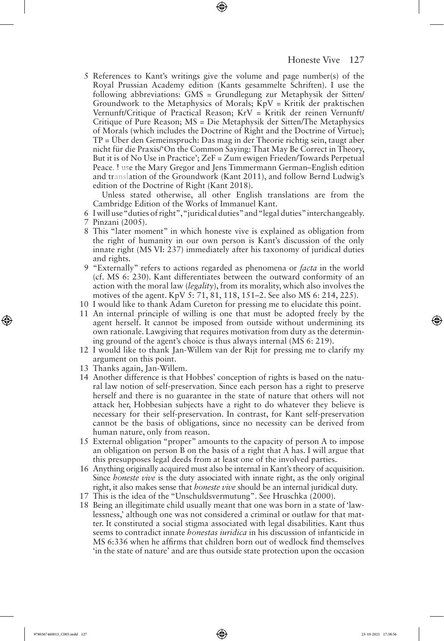5 References to Kant's writings give the volume and page number(s) of the Royal Prussian Academy edition (Kants gesammelte Schriften). I use the following abbreviations: GMS = Grundlegung zur Metaphysik der Sitten/ Groundwork to the Metaphysics of Morals; KpV = Kritik der praktischen Vernunft/Critique of Practical Reason; KrV = Kritik der reinen Vernunft/ Critique of Pure Reason; MS = Die Metaphysik der Sitten/The Metaphysics of Morals (which includes the Doctrine of Right and the Doctrine of Virtue); TP = Über den Gemeinspruch: Das mag in der Theorie richtig sein, taugt aber nicht für die Praxis/'On the Common Saying: That May Be Correct in Theory, But it is of No Use in Practice'; ZeF = Zum ewigen Frieden/Towards Perpetual Peace. I use the Mary Gregor and Jens Timmermann German–English edition and translation of the Groundwork (Kant 2011), and follow Bernd Ludwig's edition of the Doctrine of Right (Kant 2018).

Unless stated otherwise, all other English translations are from the Cambridge Edition of the Works of Immanuel Kant.

- 6 I will use "duties of right", "juridical duties" and "legal duties" interchangeably. 7 Pinzani (2005).
- 8 This "later moment" in which honeste vive is explained as obligation from the right of humanity in our own person is Kant's discussion of the only innate right (MS VI: 237) immediately after his taxonomy of juridical duties and rights.
- 9 "Externally" refers to actions regarded as phenomena or *facta* in the world (cf. MS 6: 230). Kant differentiates between the outward conformity of an action with the moral law (*legality*), from its morality, which also involves the motives of the agent. KpV 5: 71, 81, 118, 151–2. See also MS 6: 214, 225).
- 10 I would like to thank Adam Cureton for pressing me to elucidate this point.
- 11 An internal principle of willing is one that must be adopted freely by the agent herself. It cannot be imposed from outside without undermining its own rationale. Lawgiving that requires motivation from duty as the determining ground of the agent's choice is thus always internal (MS 6: 219).
- 12 I would like to thank Jan-Willem van der Rijt for pressing me to clarify my argument on this point.
- 13 Thanks again, Jan-Willem.
- 14 Another difference is that Hobbes' conception of rights is based on the natural law notion of self-preservation. Since each person has a right to preserve herself and there is no guarantee in the state of nature that others will not attack her, Hobbesian subjects have a right to do whatever they believe is necessary for their self-preservation. In contrast, for Kant self-preservation cannot be the basis of obligations, since no necessity can be derived from human nature, only from reason.
- 15 External obligation "proper" amounts to the capacity of person A to impose an obligation on person B on the basis of a right that A has. I will argue that this presupposes legal deeds from at least one of the involved parties.
- 16 Anything originally acquired must also be internal in Kant's theory of acquisition. Since *honeste vive* is the duty associated with innate right, as the only original right, it also makes sense that *honeste vive* should be an internal juridical duty.
- 17 This is the idea of the "Unschuldsvermutung". See Hruschka (2000).
- 18 Being an illegitimate child usually meant that one was born in a state of 'lawlessness,' although one was not considered a criminal or outlaw for that matter. It constituted a social stigma associated with legal disabilities. Kant thus seems to contradict innate *honestas iuridica* in his discussion of infanticide in MS 6:336 when he affirms that children born out of wedlock find themselves 'in the state of nature' and are thus outside state protection upon the occasion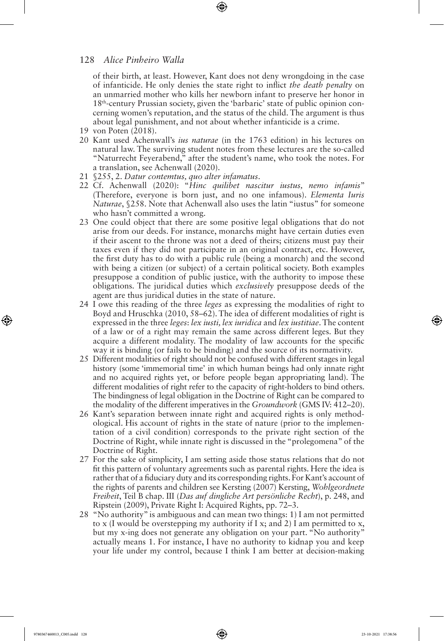of their birth, at least. However, Kant does not deny wrongdoing in the case of infanticide. He only denies the state right to inflict *the death penalty* on an unmarried mother who kills her newborn infant to preserve her honor in 18th-century Prussian society, given the 'barbaric' state of public opinion concerning women's reputation, and the status of the child. The argument is thus about legal punishment, and not about whether infanticide is a crime.

- 19 von Poten (2018).
- 20 Kant used Achenwall's *ius naturae* (in the 1763 edition) in his lectures on natural law. The surviving student notes from these lectures are the so-called "Naturrecht Feyerabend," after the student's name, who took the notes. For a translation, see Achenwall (2020).
- 21 §255, 2. *Datur contemtus, quo alter infamatus*.
- 22 Cf. Achenwall (2020): "*Hinc quilibet nascitur iustus, nemo infamis*" (Therefore, everyone is born just, and no one infamous). *Elementa Iuris Naturae*, §258. Note that Achenwall also uses the latin "iustus" for someone who hasn't committed a wrong.
- 23 One could object that there are some positive legal obligations that do not arise from our deeds. For instance, monarchs might have certain duties even if their ascent to the throne was not a deed of theirs; citizens must pay their taxes even if they did not participate in an original contract, etc. However, the first duty has to do with a public rule (being a monarch) and the second with being a citizen (or subject) of a certain political society. Both examples presuppose a condition of public justice, with the authority to impose these obligations. The juridical duties which *exclusively* presuppose deeds of the agent are thus juridical duties in the state of nature.
- 24 I owe this reading of the three *leges* as expressing the modalities of right to Boyd and Hruschka (2010, 58–62). The idea of different modalities of right is expressed in the three *leges*: *lex iusti, lex iuridica* and *lex iustitiae*. The content of a law or of a right may remain the same across different leges. But they acquire a different modality. The modality of law accounts for the specific way it is binding (or fails to be binding) and the source of its normativity.
- 25 Different modalities of right should not be confused with different stages in legal history (some 'immemorial time' in which human beings had only innate right and no acquired rights yet, or before people began appropriating land). The different modalities of right refer to the capacity of right-holders to bind others. The bindingness of legal obligation in the Doctrine of Right can be compared to the modality of the different imperatives in the *Groundwork* (GMS IV: 412–20).
- 26 Kant's separation between innate right and acquired rights is only methodological. His account of rights in the state of nature (prior to the implementation of a civil condition) corresponds to the private right section of the Doctrine of Right, while innate right is discussed in the "prolegomena" of the Doctrine of Right.
- 27 For the sake of simplicity, I am setting aside those status relations that do not fit this pattern of voluntary agreements such as parental rights. Here the idea is rather that of a fiduciary duty and its corresponding rights. For Kant's account of the rights of parents and children see Kersting (2007) Kersting, *Wohlgeordnete Freiheit*, Teil B chap. III (*Das auf dingliche Art persönliche Recht*), p. 248, and Ripstein (2009), Private Right I: Acquired Rights, pp. 72–3.
- 28 "No authority" is ambiguous and can mean two things: 1) I am not permitted to x (I would be overstepping my authority if I x; and 2) I am permitted to x, but my x-ing does not generate any obligation on your part. "No authority" actually means 1. For instance, I have no authority to kidnap you and keep your life under my control, because I think I am better at decision-making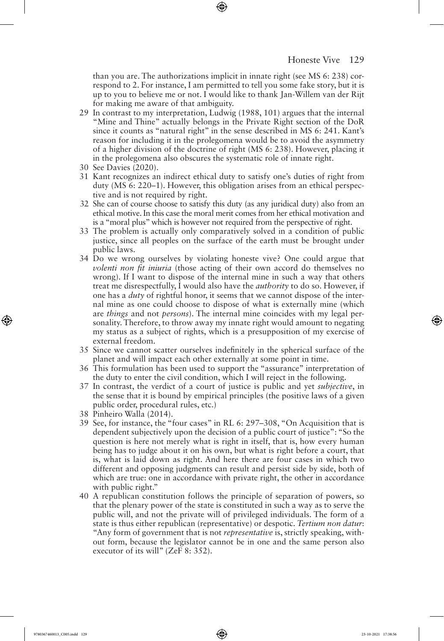than you are. The authorizations implicit in innate right (see MS 6: 238) correspond to 2. For instance, I am permitted to tell you some fake story, but it is up to you to believe me or not. I would like to thank Jan-Willem van der Rijt for making me aware of that ambiguity.

- 29 In contrast to my interpretation, Ludwig (1988, 101) argues that the internal "Mine and Thine" actually belongs in the Private Right section of the DoR since it counts as "natural right" in the sense described in MS 6: 241. Kant's reason for including it in the prolegomena would be to avoid the asymmetry of a higher division of the doctrine of right (MS 6: 238). However, placing it in the prolegomena also obscures the systematic role of innate right.
- 30 See Davies (2020).
- 31 Kant recognizes an indirect ethical duty to satisfy one's duties of right from duty (MS 6: 220–1). However, this obligation arises from an ethical perspective and is not required by right.
- 32 She can of course choose to satisfy this duty (as any juridical duty) also from an ethical motive. In this case the moral merit comes from her ethical motivation and is a "moral plus" which is however not required from the perspective of right.
- 33 The problem is actually only comparatively solved in a condition of public justice, since all peoples on the surface of the earth must be brought under public laws.
- 34 Do we wrong ourselves by violating honeste vive? One could argue that *volenti non fit iniuria* (those acting of their own accord do themselves no wrong). If I want to dispose of the internal mine in such a way that others treat me disrespectfully, I would also have the *authority* to do so. However, if one has a *duty* of rightful honor, it seems that we cannot dispose of the internal mine as one could choose to dispose of what is externally mine (which are *things* and not *persons*). The internal mine coincides with my legal personality. Therefore, to throw away my innate right would amount to negating my status as a subject of rights, which is a presupposition of my exercise of external freedom.
- 35 Since we cannot scatter ourselves indefinitely in the spherical surface of the planet and will impact each other externally at some point in time.
- 36 This formulation has been used to support the "assurance" interpretation of the duty to enter the civil condition, which I will reject in the following.
- 37 In contrast, the verdict of a court of justice is public and yet *subjective*, in the sense that it is bound by empirical principles (the positive laws of a given public order, procedural rules, etc.)
- 38 Pinheiro Walla (2014).
- 39 See, for instance, the "four cases" in RL 6: 297–308, "On Acquisition that is dependent subjectively upon the decision of a public court of justice": "So the question is here not merely what is right in itself, that is, how every human being has to judge about it on his own, but what is right before a court, that is, what is laid down as right. And here there are four cases in which two different and opposing judgments can result and persist side by side, both of which are true: one in accordance with private right, the other in accordance with public right."
- 40 A republican constitution follows the principle of separation of powers, so that the plenary power of the state is constituted in such a way as to serve the public will, and not the private will of privileged individuals. The form of a state is thus either republican (representative) or despotic. *Tertium non datur*: "Any form of government that is not *representative* is, strictly speaking, without form, because the legislator cannot be in one and the same person also executor of its will" (ZeF 8: 352).

9780367460013\_C005.indd 129 23-10-2021 17:38:56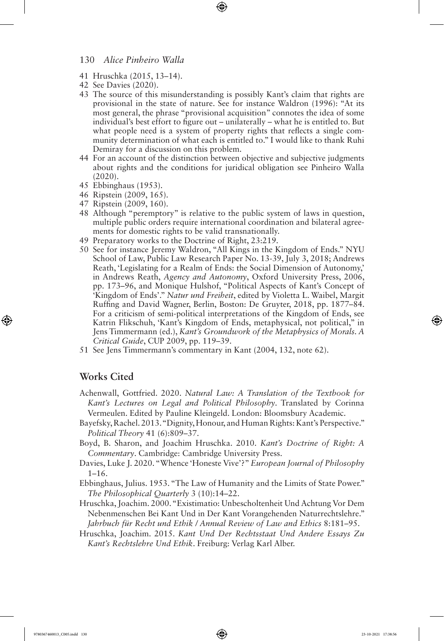- 41 Hruschka (2015, 13–14).
- 42 See Davies (2020).
- 43 The source of this misunderstanding is possibly Kant's claim that rights are provisional in the state of nature. See for instance Waldron (1996): "At its most general, the phrase "provisional acquisition" connotes the idea of some individual's best effort to figure out – unilaterally – what he is entitled to. But what people need is a system of property rights that reflects a single community determination of what each is entitled to." I would like to thank Ruhi Demiray for a discussion on this problem.

⊕

- 44 For an account of the distinction between objective and subjective judgments about rights and the conditions for juridical obligation see Pinheiro Walla (2020).
- 45 Ebbinghaus (1953).
- 46 Ripstein (2009, 165).
- 47 Ripstein (2009, 160).
- 48 Although "peremptory" is relative to the public system of laws in question, multiple public orders require international coordination and bilateral agreements for domestic rights to be valid transnationally.
- 49 Preparatory works to the Doctrine of Right, 23:219.
- 50 See for instance Jeremy Waldron, "All Kings in the Kingdom of Ends." NYU School of Law, Public Law Research Paper No. 13-39, July 3, 2018; Andrews Reath, 'Legislating for a Realm of Ends: the Social Dimension of Autonomy,' in Andrews Reath, *Agency and Autonomy*, Oxford University Press, 2006, pp. 173–96, and Monique Hulshof, "Political Aspects of Kant's Concept of 'Kingdom of Ends'." *Natur und Freiheit*, edited by Violetta L. Waibel, Margit Ruffing and David Wagner, Berlin, Boston: De Gruyter, 2018, pp. 1877–84. For a criticism of semi-political interpretations of the Kingdom of Ends, see Katrin Flikschuh, 'Kant's Kingdom of Ends, metaphysical, not political," in Jens Timmermann (ed.), *Kant's Groundwork of the Metaphysics of Morals. A Critical Guide*, CUP 2009, pp. 119–39.
- 51 See Jens Timmermann's commentary in Kant (2004, 132, note 62).

## **Works Cited**

⊕

- Achenwall, Gottfried. 2020. *Natural Law: A Translation of the Textbook for Kant's Lectures on Legal and Political Philosophy*. Translated by Corinna Vermeulen. Edited by Pauline Kleingeld. London: Bloomsbury Academic.
- Bayefsky, Rachel. 2013. "Dignity, Honour, and Human Rights: Kant's Perspective." *Political Theory* 41 (6):809–37.
- Boyd, B. Sharon, and Joachim Hruschka. 2010. *Kant's Doctrine of Right: A Commentary*. Cambridge: Cambridge University Press.
- Davies, Luke J. 2020. "Whence 'Honeste Vive'?" *European Journal of Philosophy* 1–16.
- Ebbinghaus, Julius. 1953. "The Law of Humanity and the Limits of State Power." *The Philosophical Quarterly* 3 (10):14–22.
- Hruschka, Joachim. 2000. "Existimatio: Unbescholtenheit Und Achtung Vor Dem Nebenmenschen Bei Kant Und in Der Kant Vorangehenden Naturrechtslehre." *Jahrbuch für Recht und Ethik / Annual Review of Law and Ethics* 8:181–95.
- Hruschka, Joachim. 2015. *Kant Und Der Rechtsstaat Und Andere Essays Zu Kant's Rechtslehre Und Ethik*. Freiburg: Verlag Karl Alber.